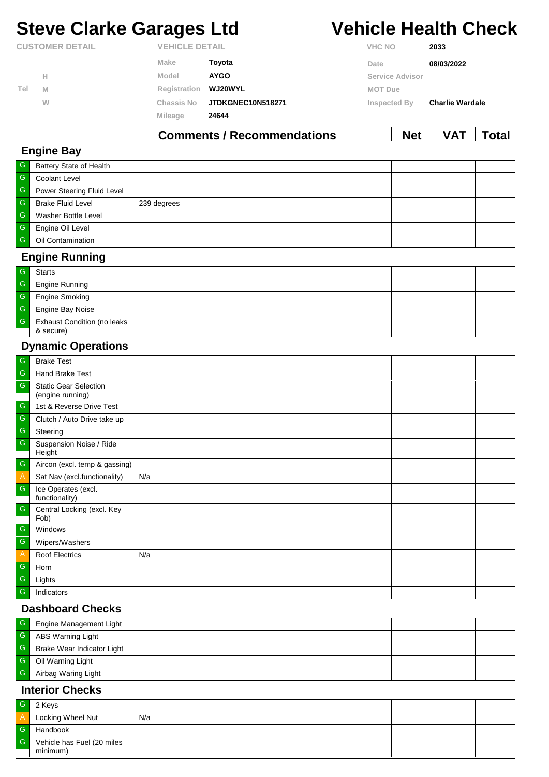# **Steve Clarke Garages Ltd Vehicle Health Check**

|                        |   | $\rightarrow$               | . .<br>$\sim$ $\sim$  | . .                    | .<br>. .               |  |
|------------------------|---|-----------------------------|-----------------------|------------------------|------------------------|--|
|                        |   | Mileage                     | 24644                 |                        |                        |  |
|                        | W | <b>Chassis No</b>           | JTDKGNEC10N518271     | Inspected By           | <b>Charlie Wardale</b> |  |
| Tel                    | M | Registration <b>WJ20WYL</b> |                       | <b>MOT Due</b>         |                        |  |
|                        | Н | Model                       | <b>AYGO</b>           | <b>Service Advisor</b> |                        |  |
|                        |   | Make                        | Toyota                | Date                   | 08/03/2022             |  |
| <b>CUSTOMER DETAIL</b> |   |                             | <b>VEHICLE DETAIL</b> |                        | 2033                   |  |

|                                                                       |                                                  | <b>Comments / Recommendations</b> | <b>Net</b> | VAT | <u>Total</u> |  |  |  |
|-----------------------------------------------------------------------|--------------------------------------------------|-----------------------------------|------------|-----|--------------|--|--|--|
| <b>Engine Bay</b>                                                     |                                                  |                                   |            |     |              |  |  |  |
| G                                                                     | Battery State of Health                          |                                   |            |     |              |  |  |  |
| ${\mathsf G}$                                                         | Coolant Level                                    |                                   |            |     |              |  |  |  |
| G                                                                     | Power Steering Fluid Level                       |                                   |            |     |              |  |  |  |
| G                                                                     | <b>Brake Fluid Level</b>                         | 239 degrees                       |            |     |              |  |  |  |
| G                                                                     | Washer Bottle Level                              |                                   |            |     |              |  |  |  |
| ${\mathbb G}$                                                         | Engine Oil Level                                 |                                   |            |     |              |  |  |  |
| G                                                                     | Oil Contamination                                |                                   |            |     |              |  |  |  |
|                                                                       | <b>Engine Running</b>                            |                                   |            |     |              |  |  |  |
| G                                                                     | <b>Starts</b>                                    |                                   |            |     |              |  |  |  |
| ${\mathsf G}$                                                         | <b>Engine Running</b>                            |                                   |            |     |              |  |  |  |
| ${\mathsf G}$                                                         | <b>Engine Smoking</b>                            |                                   |            |     |              |  |  |  |
| ${\mathsf G}$                                                         | Engine Bay Noise                                 |                                   |            |     |              |  |  |  |
| ${\mathsf G}$                                                         | <b>Exhaust Condition (no leaks</b><br>& secure)  |                                   |            |     |              |  |  |  |
|                                                                       | <b>Dynamic Operations</b>                        |                                   |            |     |              |  |  |  |
| G                                                                     | <b>Brake Test</b>                                |                                   |            |     |              |  |  |  |
| ${\mathsf G}$                                                         | Hand Brake Test                                  |                                   |            |     |              |  |  |  |
| ${\mathsf G}$                                                         | <b>Static Gear Selection</b><br>(engine running) |                                   |            |     |              |  |  |  |
| G                                                                     | 1st & Reverse Drive Test                         |                                   |            |     |              |  |  |  |
| ${\mathbb G}$                                                         | Clutch / Auto Drive take up                      |                                   |            |     |              |  |  |  |
| ${\mathsf G}$                                                         | Steering                                         |                                   |            |     |              |  |  |  |
| ${\mathsf G}$                                                         | Suspension Noise / Ride<br>Height                |                                   |            |     |              |  |  |  |
| ${\mathsf G}$                                                         | Aircon (excl. temp & gassing)                    |                                   |            |     |              |  |  |  |
| $\mathsf{A}% _{\mathsf{A}}^{\prime}=\mathsf{A}_{\mathsf{A}}^{\prime}$ | Sat Nav (excl.functionality)                     | N/a                               |            |     |              |  |  |  |
| ${\mathsf G}$                                                         | Ice Operates (excl.<br>functionality)            |                                   |            |     |              |  |  |  |
| ${\mathsf G}$                                                         | Central Locking (excl. Key<br>Fob)               |                                   |            |     |              |  |  |  |
| G                                                                     | Windows                                          |                                   |            |     |              |  |  |  |
| ${\mathsf G}$                                                         | Wipers/Washers                                   |                                   |            |     |              |  |  |  |
| A                                                                     | <b>Roof Electrics</b>                            | N/a                               |            |     |              |  |  |  |
| G                                                                     | Horn                                             |                                   |            |     |              |  |  |  |
| ${\mathbb G}$                                                         | Lights                                           |                                   |            |     |              |  |  |  |
| ${\mathsf G}$                                                         | Indicators                                       |                                   |            |     |              |  |  |  |
| <b>Dashboard Checks</b>                                               |                                                  |                                   |            |     |              |  |  |  |
| G                                                                     | Engine Management Light                          |                                   |            |     |              |  |  |  |
| G                                                                     | ABS Warning Light                                |                                   |            |     |              |  |  |  |
| ${\mathbb G}$                                                         | Brake Wear Indicator Light                       |                                   |            |     |              |  |  |  |
| G                                                                     | Oil Warning Light                                |                                   |            |     |              |  |  |  |
| G                                                                     | Airbag Waring Light                              |                                   |            |     |              |  |  |  |
| <b>Interior Checks</b>                                                |                                                  |                                   |            |     |              |  |  |  |
| ${\mathsf G}$                                                         | 2 Keys                                           |                                   |            |     |              |  |  |  |
| $\mathsf{A}$                                                          | Locking Wheel Nut                                | N/a                               |            |     |              |  |  |  |
| G                                                                     | Handbook                                         |                                   |            |     |              |  |  |  |
| ${\mathsf G}$                                                         | Vehicle has Fuel (20 miles<br>minimum)           |                                   |            |     |              |  |  |  |